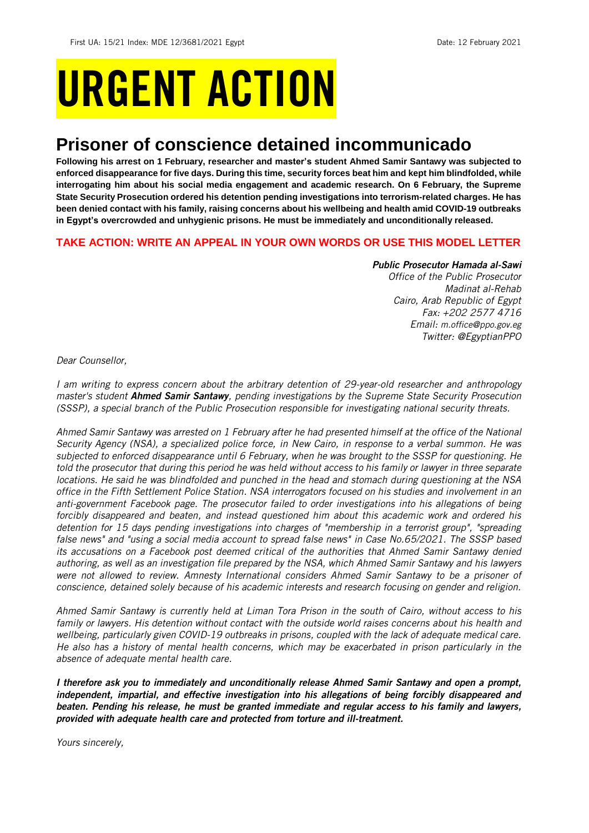# URGENT ACTION

## **Prisoner of conscience detained incommunicado**

**Following his arrest on 1 February, researcher and master's student Ahmed Samir Santawy was subjected to enforced disappearance for five days. During this time, security forces beat him and kept him blindfolded, while interrogating him about his social media engagement and academic research. On 6 February, the Supreme State Security Prosecution ordered his detention pending investigations into terrorism-related charges. He has been denied contact with his family, raising concerns about his wellbeing and health amid COVID-19 outbreaks in Egypt's overcrowded and unhygienic prisons. He must be immediately and unconditionally released.**

#### **TAKE ACTION: WRITE AN APPEAL IN YOUR OWN WORDS OR USE THIS MODEL LETTER**

#### *Public Prosecutor Hamada al-Sawi*

*Office of the Public Prosecutor Madinat al-Rehab Cairo, Arab Republic of Egypt Fax: +202 2577 4716 Email: [m.office@ppo.gov.eg](mailto:m.office@ppo.gov.eg) Twitter: @EgyptianPPO*

*Dear Counsellor,*

*I am writing to express concern about the arbitrary detention of 29-year-old researcher and anthropology master's student Ahmed Samir Santawy, pending investigations by the Supreme State Security Prosecution (SSSP), a special branch of the Public Prosecution responsible for investigating national security threats.*

*Ahmed Samir Santawy was arrested on 1 February after he had presented himself at the office of the National Security Agency (NSA), a specialized police force, in New Cairo, in response to a verbal summon. He was subjected to enforced disappearance until 6 February, when he was brought to the SSSP for questioning. He told the prosecutor that during this period he was held without access to his family or lawyer in three separate locations. He said he was blindfolded and punched in the head and stomach during questioning at the NSA office in the Fifth Settlement Police Station. NSA interrogators focused on his studies and involvement in an anti-government Facebook page. The prosecutor failed to order investigations into his allegations of being forcibly disappeared and beaten, and instead questioned him about this academic work and ordered his detention for 15 days pending investigations into charges of "membership in a terrorist group", "spreading false news" and "using a social media account to spread false news" in Case No.65/2021. The SSSP based its accusations on a Facebook post deemed critical of the authorities that Ahmed Samir Santawy denied authoring, as well as an investigation file prepared by the NSA, which Ahmed Samir Santawy and his lawyers were not allowed to review. Amnesty International considers Ahmed Samir Santawy to be a prisoner of conscience, detained solely because of his academic interests and research focusing on gender and religion.*

*Ahmed Samir Santawy is currently held at Liman Tora Prison in the south of Cairo, without access to his family or lawyers. His detention without contact with the outside world raises concerns about his health and wellbeing, particularly given COVID-19 outbreaks in prisons, coupled with the lack of adequate medical care. He also has a history of mental health concerns, which may be exacerbated in prison particularly in the absence of adequate mental health care.*

*I therefore ask you to immediately and unconditionally release Ahmed Samir Santawy and open a prompt, independent, impartial, and effective investigation into his allegations of being forcibly disappeared and beaten. Pending his release, he must be granted immediate and regular access to his family and lawyers, provided with adequate health care and protected from torture and ill-treatment.*

*Yours sincerely,*